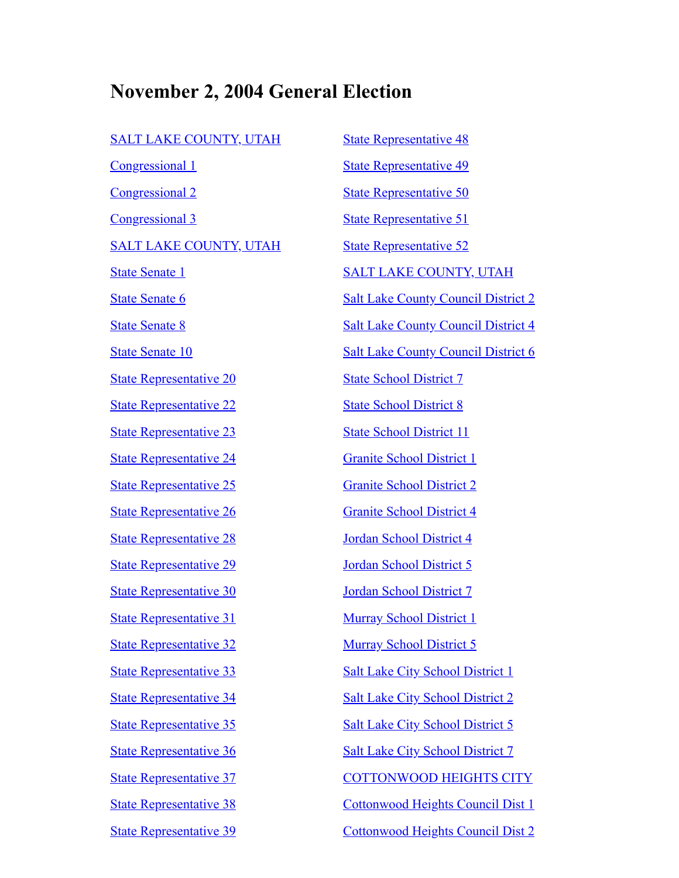## **November 2, 2004 General Election**

| <u>SALT LAKE COUNTY, UTAH</u>         |
|---------------------------------------|
| <u>Congressional 1</u>                |
| <u>Congressional 2</u>                |
| <u>Congressional 3</u>                |
| <u>SALT LAKE COUNTY, UTAH</u>         |
| <u>State Senate 1</u>                 |
| <u>State Senate 6</u>                 |
| <u>State Senate 8</u>                 |
| <b>State Senate 10</b>                |
| <b>State Representative 20</b>        |
| <u>State Representative 22</u>        |
| <u>State Representative 23</u>        |
| <u>State Representative 24</u>        |
| <u>State Representative 25</u>        |
| <u>State Representative 26</u>        |
| <u>State Representative 28</u>        |
| <u><b>State Representative 29</b></u> |
| <b>State Representative 30</b>        |
| <b>State Representative 31</b>        |
| <b>State Representative 32</b>        |
| <b>State Representative 33</b>        |
| <b>State Representative 34</b>        |
| <b>State Representative 35</b>        |
| <b>State Representative 36</b>        |
| <b>State Representative 37</b>        |
| <b>State Representative 38</b>        |
| <b>State Representative 39</b>        |
|                                       |

[State Representative 48](#page-13-0) [State Representative 49](#page-13-1) [State Representative 50](#page-13-2) [State Representative 51](#page-14-0) [State Representative 52](#page-14-1) [SALT LAKE COUNTY, UTAH](#page-14-2) [Salt Lake County Council District 2](#page-15-0) [Salt Lake County Council District 4](#page-15-1) [Salt Lake County Council District 6](#page-15-2) [State School District 7](#page-16-0) [State School District 8](#page-16-1) [State School District 11](#page-16-2) [Granite School District 1](#page-16-3) [Granite School District 2](#page-17-0) [Granite School District 4](#page-17-1) [Jordan School District 4](#page-17-2) [Jordan School District 5](#page-17-3) [Jordan School District 7](#page-18-0) [Murray School District 1](#page-18-1) [Murray School District 5](#page-18-2) [Salt Lake City School District 1](#page-18-3) [Salt Lake City School District 2](#page-19-0) [Salt Lake City School District 5](#page-19-1) [Salt Lake City School District 7](#page-19-2) [COTTONWOOD HEIGHTS CITY](#page-19-3) [Cottonwood Heights Council Dist 1](#page-20-0) [Cottonwood Heights Council Dist 2](#page-20-1)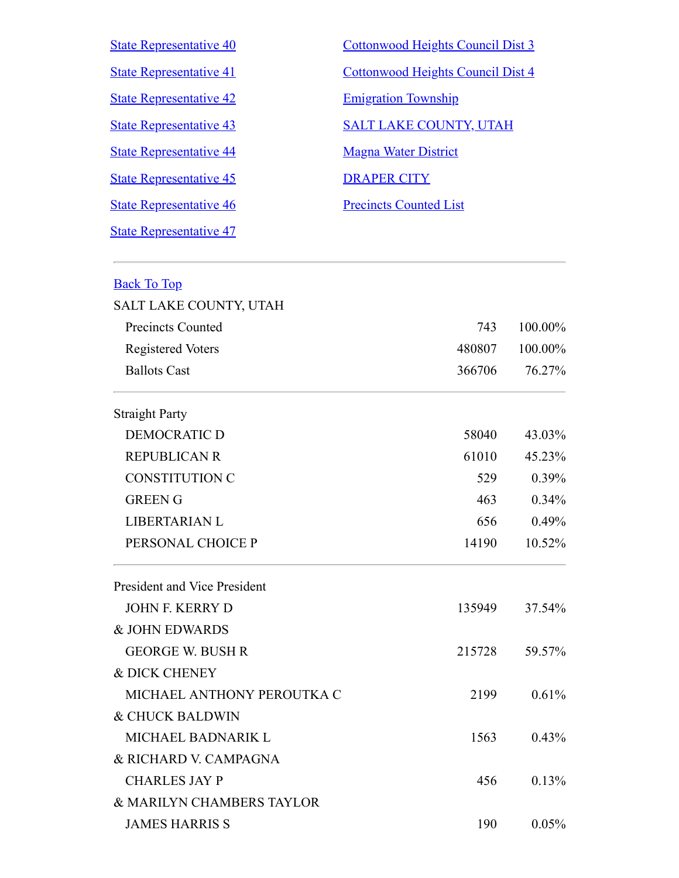| <b>State Representative 40</b> | Cottonwood Heights Council Dist 3 |
|--------------------------------|-----------------------------------|
| <b>State Representative 41</b> | Cottonwood Heights Council Dist 4 |
| <b>State Representative 42</b> | <b>Emigration Township</b>        |
| <b>State Representative 43</b> | <b>SALT LAKE COUNTY, UTAH</b>     |
| <b>State Representative 44</b> | <b>Magna Water District</b>       |
| <b>State Representative 45</b> | <b>DRAPER CITY</b>                |
| <b>State Representative 46</b> | <b>Precincts Counted List</b>     |
| <b>State Representative 47</b> |                                   |

<span id="page-1-0"></span>

| <b>Back To Top</b>                  |        |         |
|-------------------------------------|--------|---------|
| SALT LAKE COUNTY, UTAH              |        |         |
| <b>Precincts Counted</b>            | 743    | 100.00% |
| <b>Registered Voters</b>            | 480807 | 100.00% |
| <b>Ballots Cast</b>                 | 366706 | 76.27%  |
| <b>Straight Party</b>               |        |         |
| <b>DEMOCRATIC D</b>                 | 58040  | 43.03%  |
| <b>REPUBLICAN R</b>                 | 61010  | 45.23%  |
| <b>CONSTITUTION C</b>               | 529    | 0.39%   |
| <b>GREEN G</b>                      | 463    | 0.34%   |
| LIBERTARIAN L                       | 656    | 0.49%   |
| PERSONAL CHOICE P                   | 14190  | 10.52%  |
| <b>President and Vice President</b> |        |         |
| <b>JOHN F. KERRY D</b>              | 135949 | 37.54%  |
| & JOHN EDWARDS                      |        |         |
| <b>GEORGE W. BUSH R</b>             | 215728 | 59.57%  |
| & DICK CHENEY                       |        |         |
| MICHAEL ANTHONY PEROUTKA C          | 2199   | 0.61%   |
| & CHUCK BALDWIN                     |        |         |
| MICHAEL BADNARIK L                  | 1563   | 0.43%   |
| & RICHARD V. CAMPAGNA               |        |         |
| <b>CHARLES JAY P</b>                | 456    | 0.13%   |
| & MARILYN CHAMBERS TAYLOR           |        |         |
| <b>JAMES HARRIS S</b>               | 190    | 0.05%   |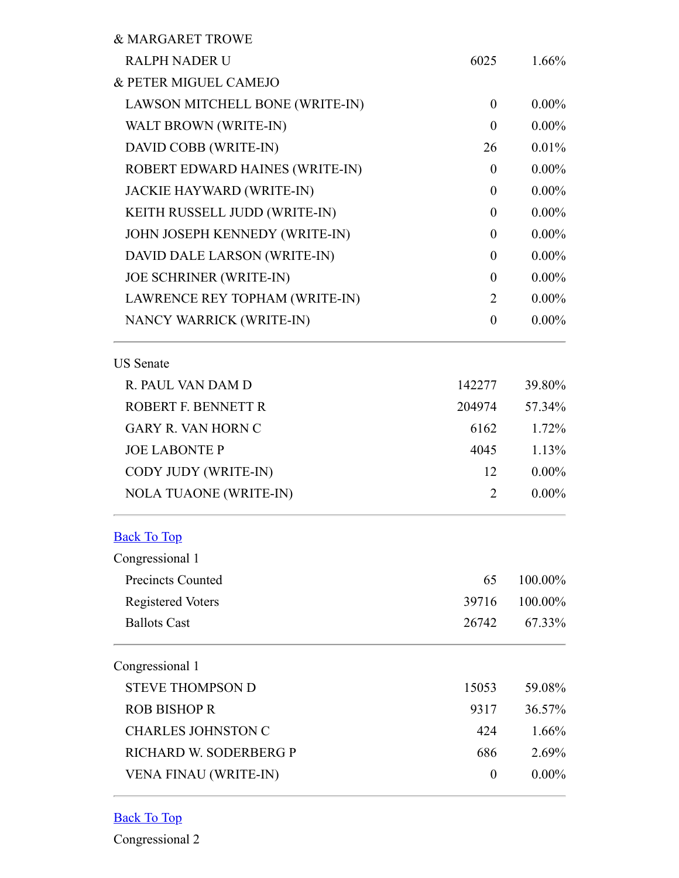| & MARGARET TROWE                |                  |          |
|---------------------------------|------------------|----------|
| <b>RALPH NADER U</b>            | 6025             | $1.66\%$ |
| & PETER MIGUEL CAMEJO           |                  |          |
| LAWSON MITCHELL BONE (WRITE-IN) | $\theta$         | $0.00\%$ |
| WALT BROWN (WRITE-IN)           | $\theta$         | $0.00\%$ |
| DAVID COBB (WRITE-IN)           | 26               | $0.01\%$ |
| ROBERT EDWARD HAINES (WRITE-IN) | $\theta$         | $0.00\%$ |
| JACKIE HAYWARD (WRITE-IN)       | $\theta$         | $0.00\%$ |
| KEITH RUSSELL JUDD (WRITE-IN)   | $\theta$         | $0.00\%$ |
| JOHN JOSEPH KENNEDY (WRITE-IN)  | $\theta$         | $0.00\%$ |
| DAVID DALE LARSON (WRITE-IN)    | $\theta$         | $0.00\%$ |
| <b>JOE SCHRINER (WRITE-IN)</b>  | $\theta$         | $0.00\%$ |
| LAWRENCE REY TOPHAM (WRITE-IN)  | 2                | $0.00\%$ |
| NANCY WARRICK (WRITE-IN)        | $\theta$         | $0.00\%$ |
| <b>US</b> Senate                |                  |          |
| R. PAUL VAN DAM D               | 142277           | 39.80%   |
| ROBERT F. BENNETT R             | 204974           | 57.34%   |
| <b>GARY R. VAN HORN C</b>       | 6162             | 1.72%    |
| <b>JOE LABONTE P</b>            | 4045             | 1.13%    |
| CODY JUDY (WRITE-IN)            | 12               | $0.00\%$ |
| NOLA TUAONE (WRITE-IN)          | 2                | $0.00\%$ |
| <b>Back To Top</b>              |                  |          |
| Congressional 1                 |                  |          |
| <b>Precincts Counted</b>        | 65               | 100.00%  |
| <b>Registered Voters</b>        | 39716            | 100.00%  |
| <b>Ballots Cast</b>             | 26742            | 67.33%   |
| Congressional 1                 |                  |          |
| <b>STEVE THOMPSON D</b>         | 15053            | 59.08%   |
| <b>ROB BISHOP R</b>             | 9317             | 36.57%   |
| <b>CHARLES JOHNSTON C</b>       | 424              | 1.66%    |
| RICHARD W. SODERBERG P          | 686              | 2.69%    |
| <b>VENA FINAU (WRITE-IN)</b>    | $\boldsymbol{0}$ | $0.00\%$ |

<span id="page-2-1"></span><span id="page-2-0"></span>Back To Top

Congressional 2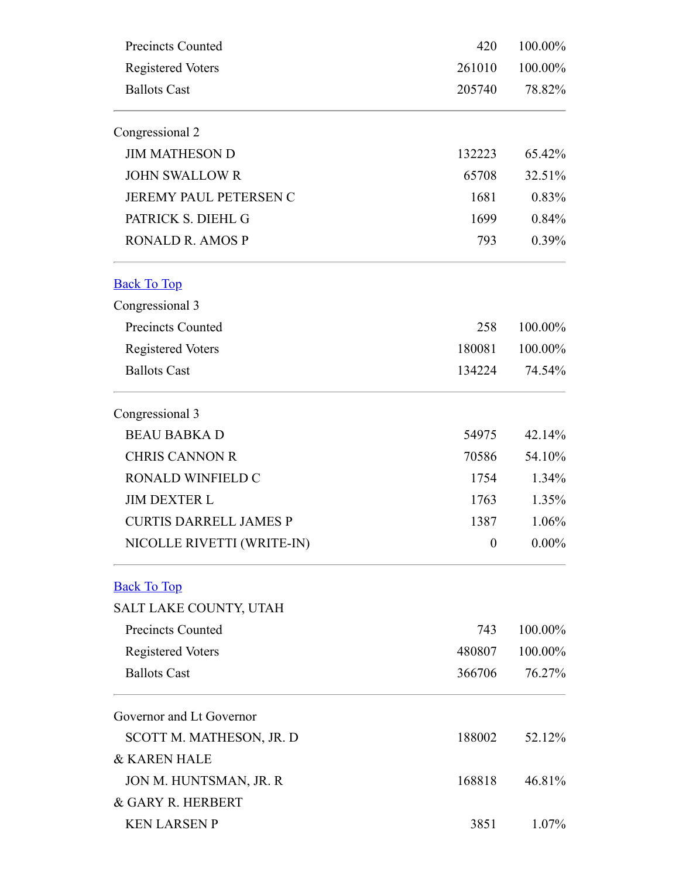<span id="page-3-1"></span><span id="page-3-0"></span>

| <b>Precincts Counted</b><br><b>Registered Voters</b><br><b>Ballots Cast</b> | 420<br>261010    | 100.00%<br>100.00% |        |
|-----------------------------------------------------------------------------|------------------|--------------------|--------|
|                                                                             |                  |                    | 205740 |
|                                                                             | Congressional 2  |                    |        |
| <b>JIM MATHESON D</b>                                                       | 132223           | 65.42%             |        |
| <b>JOHN SWALLOW R</b>                                                       | 65708            | 32.51%             |        |
| JEREMY PAUL PETERSEN C                                                      | 1681             | 0.83%              |        |
| PATRICK S. DIEHL G                                                          | 1699             | 0.84%              |        |
| <b>RONALD R. AMOS P</b>                                                     | 793              | $0.39\%$           |        |
| <b>Back To Top</b>                                                          |                  |                    |        |
| Congressional 3                                                             |                  |                    |        |
| <b>Precincts Counted</b>                                                    | 258              | 100.00%            |        |
| <b>Registered Voters</b>                                                    | 180081           | 100.00%            |        |
| <b>Ballots Cast</b>                                                         | 134224           | 74.54%             |        |
| Congressional 3                                                             |                  |                    |        |
| <b>BEAU BABKA D</b>                                                         | 54975            | 42.14%             |        |
| <b>CHRIS CANNON R</b>                                                       | 70586            | 54.10%             |        |
| RONALD WINFIELD C                                                           | 1754             | $1.34\%$           |        |
| <b>JIM DEXTER L</b>                                                         | 1763             | $1.35\%$           |        |
| <b>CURTIS DARRELL JAMES P</b>                                               | 1387             | 1.06%              |        |
| NICOLLE RIVETTI (WRITE-IN)                                                  | $\boldsymbol{0}$ | $0.00\%$           |        |
| <b>Back To Top</b>                                                          |                  |                    |        |
| SALT LAKE COUNTY, UTAH                                                      |                  |                    |        |
| <b>Precincts Counted</b>                                                    | 743              | 100.00%            |        |
| <b>Registered Voters</b>                                                    | 480807           | 100.00%            |        |
| <b>Ballots Cast</b>                                                         | 366706           | 76.27%             |        |
| Governor and Lt Governor                                                    |                  |                    |        |
| SCOTT M. MATHESON, JR. D                                                    | 188002           | 52.12%             |        |
| & KAREN HALE                                                                |                  |                    |        |
| JON M. HUNTSMAN, JR. R                                                      | 168818           | 46.81%             |        |
| & GARY R. HERBERT                                                           |                  |                    |        |
| <b>KEN LARSEN P</b>                                                         | 3851             | $1.07\%$           |        |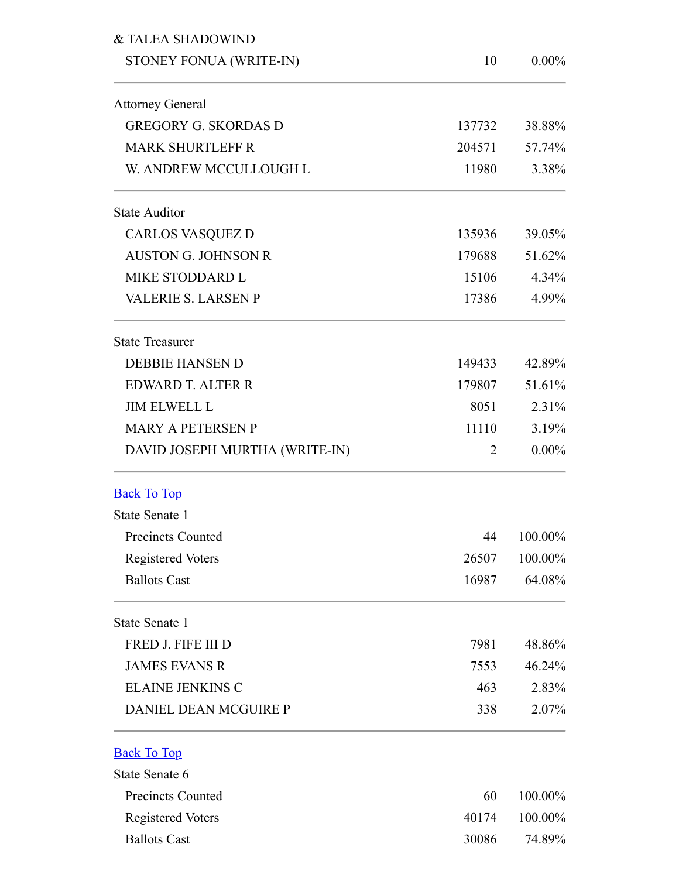<span id="page-4-1"></span><span id="page-4-0"></span>

| & TALEA SHADOWIND              |        |          |
|--------------------------------|--------|----------|
| STONEY FONUA (WRITE-IN)        | 10     | $0.00\%$ |
| <b>Attorney General</b>        |        |          |
| <b>GREGORY G. SKORDAS D</b>    | 137732 | 38.88%   |
| <b>MARK SHURTLEFF R</b>        | 204571 | 57.74%   |
| W. ANDREW MCCULLOUGH L         | 11980  | 3.38%    |
| <b>State Auditor</b>           |        |          |
| <b>CARLOS VASQUEZ D</b>        | 135936 | 39.05%   |
| <b>AUSTON G. JOHNSON R</b>     | 179688 | 51.62%   |
| MIKE STODDARD L                | 15106  | 4.34%    |
| <b>VALERIE S. LARSEN P</b>     | 17386  | 4.99%    |
| <b>State Treasurer</b>         |        |          |
| <b>DEBBIE HANSEN D</b>         | 149433 | 42.89%   |
| <b>EDWARD T. ALTER R</b>       | 179807 | 51.61%   |
| <b>JIM ELWELL L</b>            | 8051   | 2.31%    |
| <b>MARY A PETERSEN P</b>       | 11110  | 3.19%    |
| DAVID JOSEPH MURTHA (WRITE-IN) | 2      | $0.00\%$ |
| <b>Back To Top</b>             |        |          |
| State Senate 1                 |        |          |
| <b>Precincts Counted</b>       | 44     | 100.00%  |
| <b>Registered Voters</b>       | 26507  | 100.00%  |
| <b>Ballots Cast</b>            | 16987  | 64.08%   |
| State Senate 1                 |        |          |
| FRED J. FIFE III D             | 7981   | 48.86%   |
| <b>JAMES EVANS R</b>           | 7553   | 46.24%   |
| <b>ELAINE JENKINS C</b>        | 463    | 2.83%    |
| <b>DANIEL DEAN MCGUIRE P</b>   | 338    | 2.07%    |
| <b>Back To Top</b>             |        |          |
| State Senate 6                 |        |          |
| <b>Precincts Counted</b>       | 60     | 100.00%  |
| <b>Registered Voters</b>       | 40174  | 100.00%  |
| <b>Ballots Cast</b>            | 30086  | 74.89%   |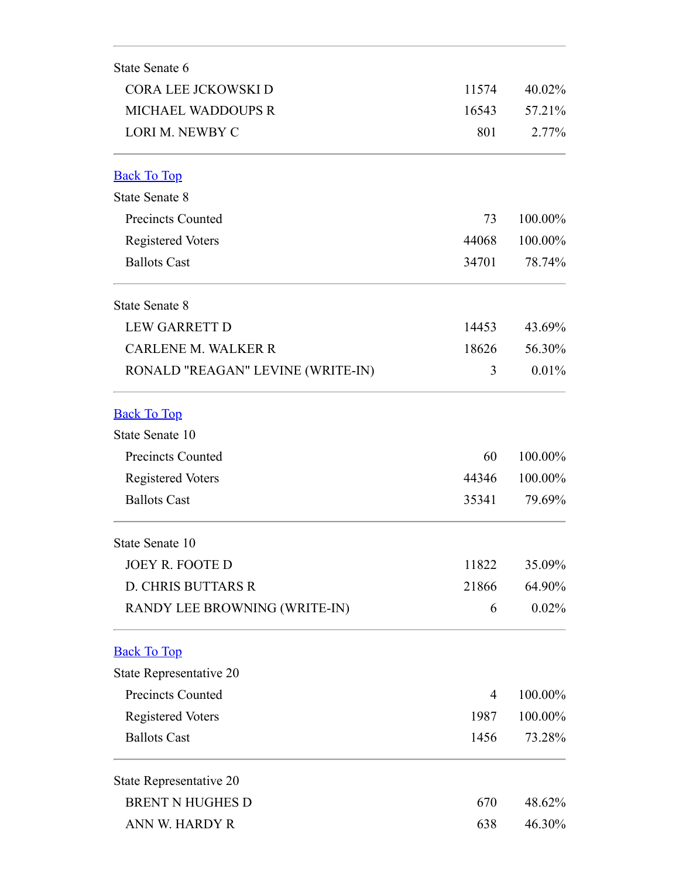<span id="page-5-2"></span><span id="page-5-1"></span><span id="page-5-0"></span>

| CORA LEE JCKOWSKI D<br><b>MICHAEL WADDOUPS R</b><br>LORI M. NEWBY C<br><b>Back To Top</b><br><b>State Senate 8</b> | 11574<br>16543<br>801<br>73 | 40.02%<br>57.21%<br>2.77% |
|--------------------------------------------------------------------------------------------------------------------|-----------------------------|---------------------------|
|                                                                                                                    |                             |                           |
|                                                                                                                    |                             |                           |
|                                                                                                                    |                             |                           |
|                                                                                                                    |                             |                           |
|                                                                                                                    |                             |                           |
| <b>Precincts Counted</b>                                                                                           |                             | 100.00%                   |
| <b>Registered Voters</b>                                                                                           | 44068                       | 100.00%                   |
| <b>Ballots Cast</b>                                                                                                | 34701                       | 78.74%                    |
| <b>State Senate 8</b>                                                                                              |                             |                           |
| <b>LEW GARRETT D</b>                                                                                               | 14453                       | 43.69%                    |
| <b>CARLENE M. WALKER R</b>                                                                                         | 18626                       | 56.30%                    |
| RONALD "REAGAN" LEVINE (WRITE-IN)                                                                                  | 3                           | 0.01%                     |
| <b>Back To Top</b>                                                                                                 |                             |                           |
| State Senate 10                                                                                                    |                             |                           |
| <b>Precincts Counted</b>                                                                                           | 60                          | 100.00%                   |
| <b>Registered Voters</b>                                                                                           | 44346                       | 100.00%                   |
| <b>Ballots Cast</b>                                                                                                | 35341                       | 79.69%                    |
| State Senate 10                                                                                                    |                             |                           |
| <b>JOEY R. FOOTE D</b>                                                                                             | 11822                       | 35.09%                    |
| <b>D. CHRIS BUTTARS R</b>                                                                                          | 21866                       | 64.90%                    |
| RANDY LEE BROWNING (WRITE-IN)                                                                                      | 6                           | 0.02%                     |
| <b>Back To Top</b>                                                                                                 |                             |                           |
| State Representative 20                                                                                            |                             |                           |
| <b>Precincts Counted</b>                                                                                           | 4                           | 100.00%                   |
| <b>Registered Voters</b>                                                                                           | 1987                        | 100.00%                   |
| <b>Ballots Cast</b>                                                                                                | 1456                        | 73.28%                    |
| State Representative 20                                                                                            |                             |                           |
| <b>BRENT N HUGHES D</b>                                                                                            | 670                         | 48.62%                    |
| ANN W. HARDY R                                                                                                     | 638                         | 46.30%                    |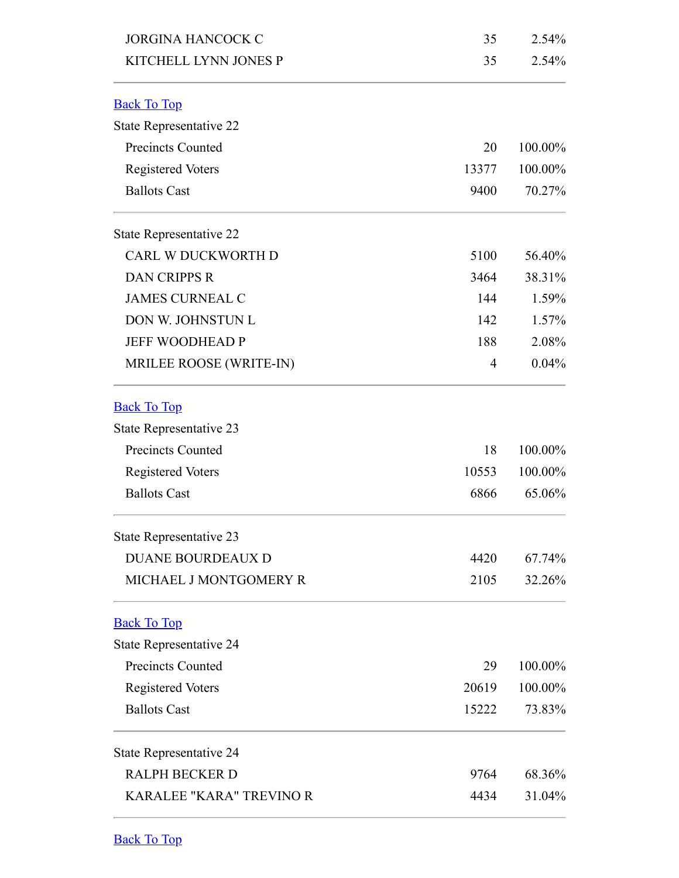<span id="page-6-3"></span><span id="page-6-2"></span><span id="page-6-1"></span><span id="page-6-0"></span>

| <b>JORGINA HANCOCK C</b>        | 35    | 2.54%   |
|---------------------------------|-------|---------|
| KITCHELL LYNN JONES P           | 35    | 2.54%   |
| <b>Back To Top</b>              |       |         |
| State Representative 22         |       |         |
| <b>Precincts Counted</b>        | 20    | 100.00% |
| <b>Registered Voters</b>        | 13377 | 100.00% |
| <b>Ballots Cast</b>             | 9400  | 70.27%  |
| State Representative 22         |       |         |
| CARL W DUCKWORTH D              | 5100  | 56.40%  |
| <b>DAN CRIPPS R</b>             | 3464  | 38.31%  |
| <b>JAMES CURNEAL C</b>          | 144   | 1.59%   |
| DON W. JOHNSTUN L               | 142   | 1.57%   |
| <b>JEFF WOODHEAD P</b>          | 188   | 2.08%   |
| MRILEE ROOSE (WRITE-IN)         | 4     | 0.04%   |
| <b>Back To Top</b>              |       |         |
| State Representative 23         |       |         |
| <b>Precincts Counted</b>        | 18    | 100.00% |
| <b>Registered Voters</b>        | 10553 | 100.00% |
| <b>Ballots Cast</b>             | 6866  | 65.06%  |
| State Representative 23         |       |         |
| <b>DUANE BOURDEAUX D</b>        | 4420  | 67.74%  |
| MICHAEL J MONTGOMERY R          | 2105  | 32.26%  |
| <b>Back To Top</b>              |       |         |
| State Representative 24         |       |         |
| <b>Precincts Counted</b>        | 29    | 100.00% |
| <b>Registered Voters</b>        | 20619 | 100.00% |
| <b>Ballots Cast</b>             | 15222 | 73.83%  |
| State Representative 24         |       |         |
| <b>RALPH BECKER D</b>           | 9764  | 68.36%  |
| <b>KARALEE "KARA" TREVINO R</b> | 4434  | 31.04%  |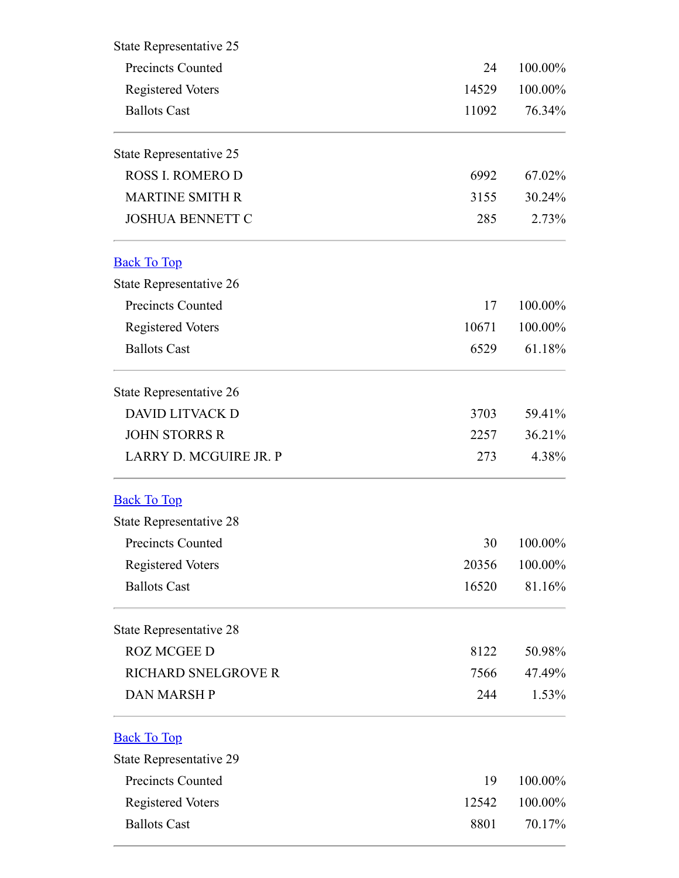<span id="page-7-2"></span><span id="page-7-1"></span><span id="page-7-0"></span>

| State Representative 25                              |             |                              |
|------------------------------------------------------|-------------|------------------------------|
| <b>Precincts Counted</b><br><b>Registered Voters</b> | 24<br>14529 | 100.00%<br>100.00%<br>76.34% |
|                                                      |             |                              |
| State Representative 25                              |             |                              |
| <b>ROSS I. ROMERO D</b>                              | 6992        | 67.02%                       |
| <b>MARTINE SMITH R</b>                               | 3155        | 30.24%                       |
| <b>JOSHUA BENNETT C</b>                              | 285         | 2.73%                        |
| <b>Back To Top</b>                                   |             |                              |
| State Representative 26                              |             |                              |
| <b>Precincts Counted</b>                             | 17          | 100.00%                      |
| <b>Registered Voters</b>                             | 10671       | 100.00%                      |
| <b>Ballots Cast</b>                                  | 6529        | 61.18%                       |
| State Representative 26                              |             |                              |
| <b>DAVID LITVACK D</b>                               | 3703        | 59.41%                       |
| <b>JOHN STORRS R</b>                                 | 2257        | 36.21%                       |
| LARRY D. MCGUIRE JR. P                               | 273         | 4.38%                        |
| <b>Back To Top</b>                                   |             |                              |
| State Representative 28                              |             |                              |
| <b>Precincts Counted</b>                             | 30          | 100.00%                      |
| <b>Registered Voters</b>                             | 20356       | 100.00%                      |
| <b>Ballots Cast</b>                                  | 16520       | 81.16%                       |
| State Representative 28                              |             |                              |
| <b>ROZ MCGEE D</b>                                   | 8122        | 50.98%                       |
| RICHARD SNELGROVE R                                  | 7566        | 47.49%                       |
| <b>DAN MARSH P</b>                                   | 244         | 1.53%                        |
| <b>Back To Top</b>                                   |             |                              |
| State Representative 29                              |             |                              |
| Precincts Counted                                    | 19          | 100.00%                      |
| <b>Registered Voters</b>                             | 12542       | 100.00%                      |
| <b>Ballots Cast</b>                                  | 8801        | 70.17%                       |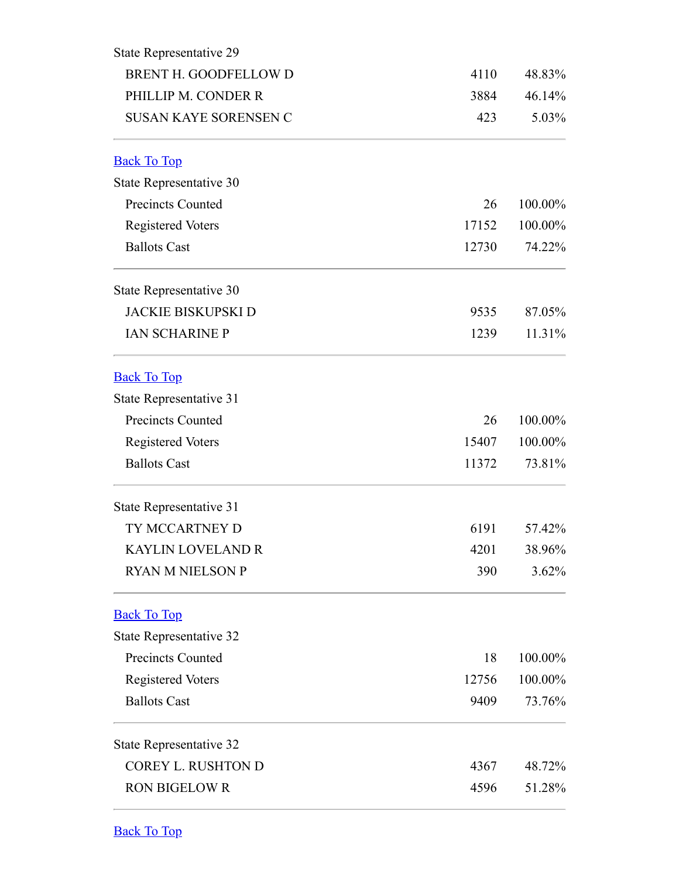<span id="page-8-3"></span><span id="page-8-2"></span><span id="page-8-1"></span><span id="page-8-0"></span>

| State Representative 29      |       |         |
|------------------------------|-------|---------|
| BRENT H. GOODFELLOW D        | 4110  | 48.83%  |
| PHILLIP M. CONDER R          | 3884  | 46.14%  |
| <b>SUSAN KAYE SORENSEN C</b> | 423   | 5.03%   |
| <b>Back To Top</b>           |       |         |
| State Representative 30      |       |         |
| <b>Precincts Counted</b>     | 26    | 100.00% |
| <b>Registered Voters</b>     | 17152 | 100.00% |
| <b>Ballots Cast</b>          | 12730 | 74.22%  |
| State Representative 30      |       |         |
| <b>JACKIE BISKUPSKI D</b>    | 9535  | 87.05%  |
| <b>IAN SCHARINE P</b>        | 1239  | 11.31%  |
| <b>Back To Top</b>           |       |         |
| State Representative 31      |       |         |
| <b>Precincts Counted</b>     | 26    | 100.00% |
| <b>Registered Voters</b>     | 15407 | 100.00% |
| <b>Ballots Cast</b>          | 11372 | 73.81%  |
| State Representative 31      |       |         |
| TY MCCARTNEY D               | 6191  | 57.42%  |
| <b>KAYLIN LOVELAND R</b>     | 4201  | 38.96%  |
| <b>RYAN M NIELSON P</b>      | 390   | 3.62%   |
| <b>Back To Top</b>           |       |         |
| State Representative 32      |       |         |
| <b>Precincts Counted</b>     | 18    | 100.00% |
| <b>Registered Voters</b>     | 12756 | 100.00% |
| <b>Ballots Cast</b>          | 9409  | 73.76%  |
| State Representative 32      |       |         |
| <b>COREY L. RUSHTON D</b>    | 4367  | 48.72%  |
| <b>RON BIGELOW R</b>         | 4596  | 51.28%  |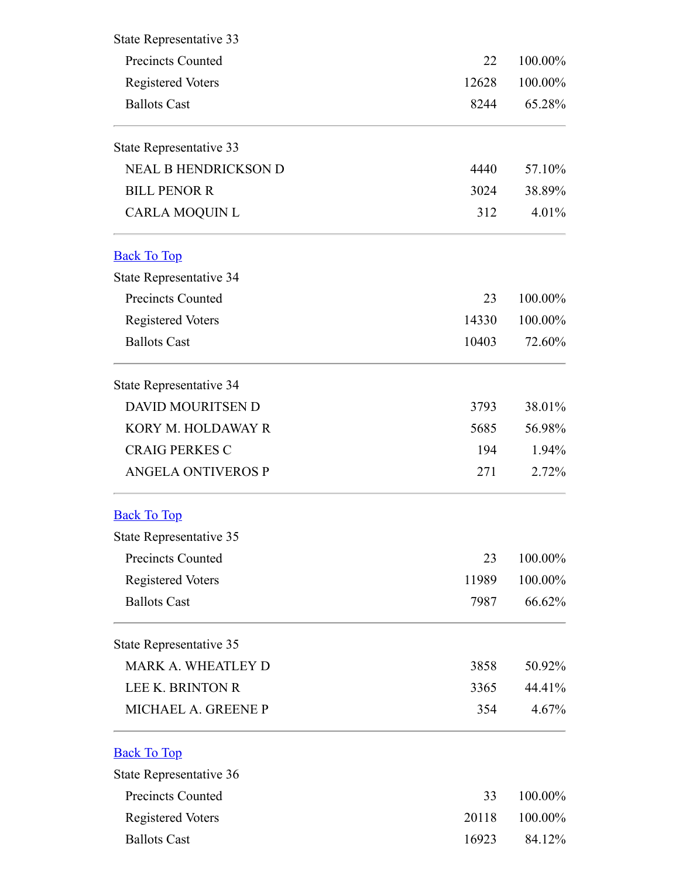<span id="page-9-2"></span><span id="page-9-1"></span><span id="page-9-0"></span>

| State Representative 33                                                     |                     |                              |                             |      |        |
|-----------------------------------------------------------------------------|---------------------|------------------------------|-----------------------------|------|--------|
| <b>Precincts Counted</b><br><b>Registered Voters</b><br><b>Ballots Cast</b> | 22<br>12628<br>8244 | 100.00%<br>100.00%<br>65.28% |                             |      |        |
|                                                                             |                     |                              | State Representative 33     |      |        |
|                                                                             |                     |                              | <b>NEAL B HENDRICKSON D</b> | 4440 | 57.10% |
| <b>BILL PENOR R</b>                                                         | 3024                | 38.89%                       |                             |      |        |
| <b>CARLA MOQUIN L</b>                                                       | 312                 | 4.01%                        |                             |      |        |
| <b>Back To Top</b>                                                          |                     |                              |                             |      |        |
| State Representative 34                                                     |                     |                              |                             |      |        |
| <b>Precincts Counted</b>                                                    | 23                  | 100.00%                      |                             |      |        |
| <b>Registered Voters</b>                                                    | 14330               | 100.00%                      |                             |      |        |
| <b>Ballots Cast</b>                                                         | 10403               | 72.60%                       |                             |      |        |
| State Representative 34                                                     |                     |                              |                             |      |        |
| <b>DAVID MOURITSEN D</b>                                                    | 3793                | 38.01%                       |                             |      |        |
| KORY M. HOLDAWAY R                                                          | 5685                | 56.98%                       |                             |      |        |
| <b>CRAIG PERKES C</b>                                                       | 194                 | 1.94%                        |                             |      |        |
| <b>ANGELA ONTIVEROS P</b>                                                   | 271                 | $2.72\%$                     |                             |      |        |
| <b>Back To Top</b>                                                          |                     |                              |                             |      |        |
| State Representative 35                                                     |                     |                              |                             |      |        |
| <b>Precincts Counted</b>                                                    | 23                  | 100.00%                      |                             |      |        |
| <b>Registered Voters</b>                                                    | 11989               | 100.00%                      |                             |      |        |
| <b>Ballots Cast</b>                                                         | 7987                | 66.62%                       |                             |      |        |
| State Representative 35                                                     |                     |                              |                             |      |        |
| <b>MARK A. WHEATLEY D</b>                                                   | 3858                | 50.92%                       |                             |      |        |
| <b>LEE K. BRINTON R</b>                                                     | 3365                | 44.41%                       |                             |      |        |
| MICHAEL A. GREENE P                                                         | 354                 | $4.67\%$                     |                             |      |        |
| <b>Back To Top</b>                                                          |                     |                              |                             |      |        |
| State Representative 36                                                     |                     |                              |                             |      |        |
| <b>Precincts Counted</b>                                                    | 33                  | 100.00%                      |                             |      |        |
| <b>Registered Voters</b>                                                    | 20118               | 100.00%                      |                             |      |        |
| <b>Ballots Cast</b>                                                         | 16923               | 84.12%                       |                             |      |        |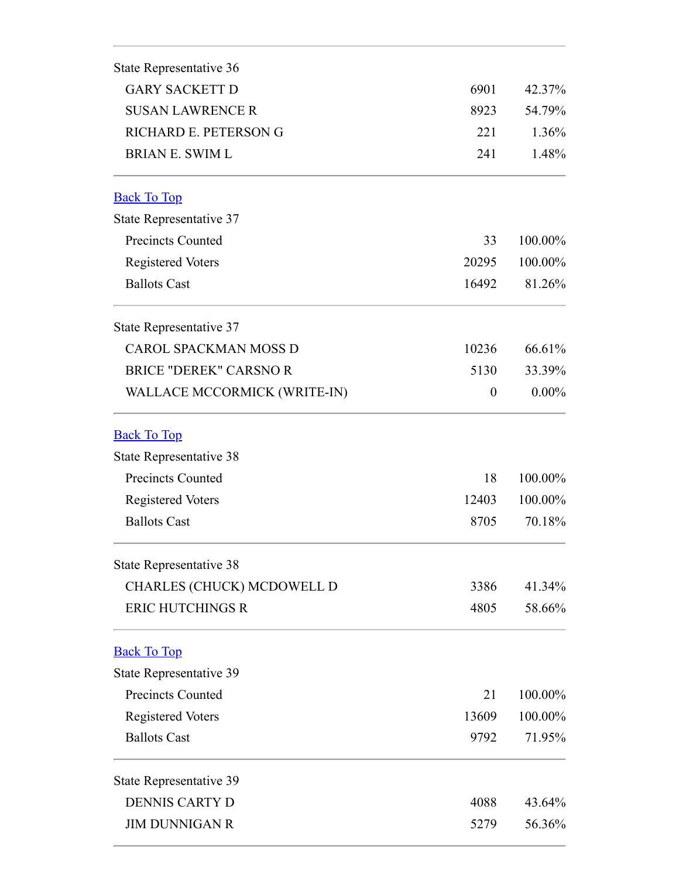<span id="page-10-2"></span><span id="page-10-1"></span><span id="page-10-0"></span>

| State Representative 36           |                  |                    |
|-----------------------------------|------------------|--------------------|
| <b>GARY SACKETT D</b>             | 6901             | 42.37%             |
| <b>SUSAN LAWRENCE R</b>           | 8923<br>221      | 54.79%<br>$1.36\%$ |
| RICHARD E. PETERSON G             |                  |                    |
| <b>BRIAN E. SWIM L</b>            | 241              | 1.48%              |
| <b>Back To Top</b>                |                  |                    |
| State Representative 37           |                  |                    |
| <b>Precincts Counted</b>          | 33               | 100.00%            |
| <b>Registered Voters</b>          | 20295            | 100.00%            |
| <b>Ballots Cast</b>               | 16492            | 81.26%             |
| State Representative 37           |                  |                    |
| <b>CAROL SPACKMAN MOSS D</b>      | 10236            | 66.61%             |
| <b>BRICE "DEREK" CARSNOR</b>      | 5130             | 33.39%             |
| WALLACE MCCORMICK (WRITE-IN)      | $\boldsymbol{0}$ | $0.00\%$           |
| <b>Back To Top</b>                |                  |                    |
| State Representative 38           |                  |                    |
| <b>Precincts Counted</b>          | 18               | 100.00%            |
| <b>Registered Voters</b>          | 12403            | 100.00%            |
| <b>Ballots Cast</b>               | 8705             | 70.18%             |
| State Representative 38           |                  |                    |
| <b>CHARLES (CHUCK) MCDOWELL D</b> | 3386             | 41.34%             |
| <b>ERIC HUTCHINGS R</b>           | 4805             | 58.66%             |
| <b>Back To Top</b>                |                  |                    |
| State Representative 39           |                  |                    |
| <b>Precincts Counted</b>          | 21               | 100.00%            |
| <b>Registered Voters</b>          | 13609            | 100.00%            |
| <b>Ballots Cast</b>               | 9792             | 71.95%             |
| <b>State Representative 39</b>    |                  |                    |
| <b>DENNIS CARTY D</b>             | 4088             | 43.64%             |
| <b>JIM DUNNIGAN R</b>             | 5279             | 56.36%             |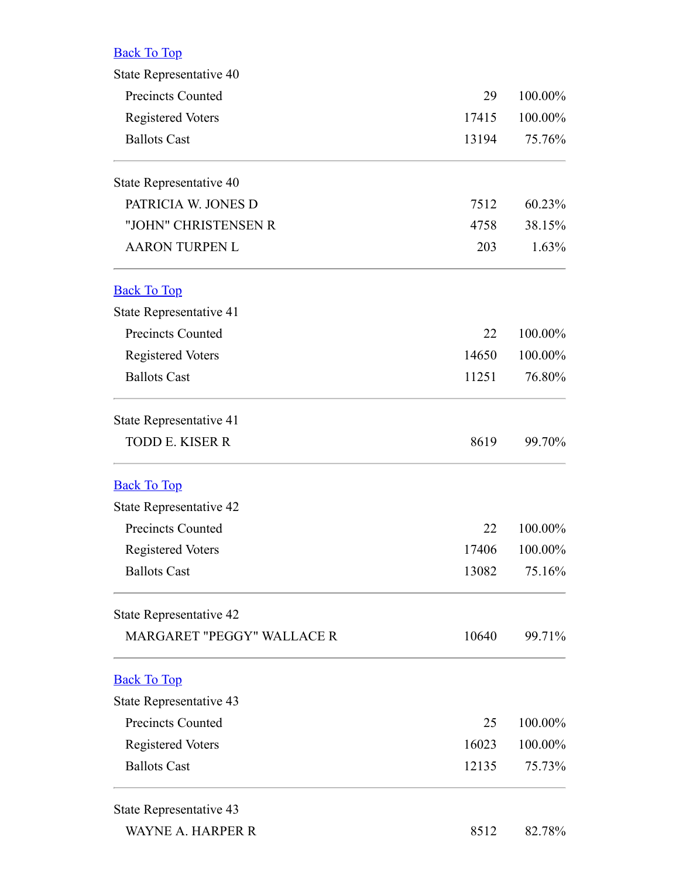<span id="page-11-0"></span>

| ≾я<br>v. |  |
|----------|--|
|          |  |

<span id="page-11-3"></span><span id="page-11-2"></span><span id="page-11-1"></span>

| State Representative 40           |       |         |
|-----------------------------------|-------|---------|
| <b>Precincts Counted</b>          | 29    | 100.00% |
| <b>Registered Voters</b>          | 17415 | 100.00% |
| <b>Ballots Cast</b>               | 13194 | 75.76%  |
| State Representative 40           |       |         |
| PATRICIA W. JONES D               | 7512  | 60.23%  |
| "JOHN" CHRISTENSEN R              | 4758  | 38.15%  |
| <b>AARON TURPEN L</b>             | 203   | 1.63%   |
| <b>Back To Top</b>                |       |         |
| State Representative 41           |       |         |
| <b>Precincts Counted</b>          | 22    | 100.00% |
| <b>Registered Voters</b>          | 14650 | 100.00% |
| <b>Ballots Cast</b>               | 11251 | 76.80%  |
| State Representative 41           |       |         |
| <b>TODD E. KISER R</b>            | 8619  | 99.70%  |
| <b>Back To Top</b>                |       |         |
| State Representative 42           |       |         |
| <b>Precincts Counted</b>          | 22    | 100.00% |
| <b>Registered Voters</b>          | 17406 | 100.00% |
| <b>Ballots Cast</b>               | 13082 | 75.16%  |
| State Representative 42           |       |         |
| <b>MARGARET "PEGGY" WALLACE R</b> | 10640 | 99.71%  |
| <b>Back To Top</b>                |       |         |
| State Representative 43           |       |         |
| <b>Precincts Counted</b>          | 25    | 100.00% |
| <b>Registered Voters</b>          | 16023 | 100.00% |
| <b>Ballots Cast</b>               | 12135 | 75.73%  |
| State Representative 43           |       |         |
| WAYNE A. HARPER R                 | 8512  | 82.78%  |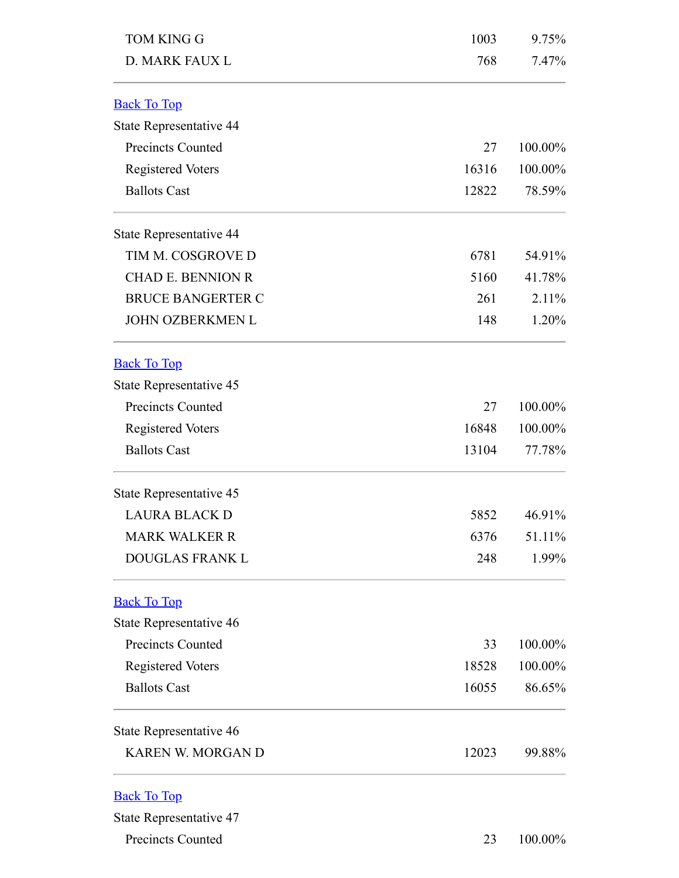<span id="page-12-3"></span><span id="page-12-2"></span><span id="page-12-1"></span><span id="page-12-0"></span>

| <b>TOM KING G</b>        | 1003  | 9.75%   |
|--------------------------|-------|---------|
| D. MARK FAUX L           | 768   | 7.47%   |
| <b>Back To Top</b>       |       |         |
| State Representative 44  |       |         |
| Precincts Counted        | 27    | 100.00% |
| <b>Registered Voters</b> | 16316 | 100.00% |
| <b>Ballots Cast</b>      | 12822 | 78.59%  |
| State Representative 44  |       |         |
| TIM M. COSGROVE D        | 6781  | 54.91%  |
| <b>CHAD E. BENNION R</b> | 5160  | 41.78%  |
| <b>BRUCE BANGERTER C</b> | 261   | 2.11%   |
| <b>JOHN OZBERKMEN L</b>  | 148   | 1.20%   |
| <b>Back To Top</b>       |       |         |
| State Representative 45  |       |         |
| <b>Precincts Counted</b> | 27    | 100.00% |
| <b>Registered Voters</b> | 16848 | 100.00% |
| <b>Ballots Cast</b>      | 13104 | 77.78%  |
| State Representative 45  |       |         |
| <b>LAURA BLACK D</b>     | 5852  | 46.91%  |
| <b>MARK WALKER R</b>     | 6376  | 51.11%  |
| DOUGLAS FRANK L          | 248   | 1.99%   |
| <b>Back To Top</b>       |       |         |
| State Representative 46  |       |         |
| <b>Precincts Counted</b> | 33    | 100.00% |
| <b>Registered Voters</b> | 18528 | 100.00% |
| <b>Ballots Cast</b>      | 16055 | 86.65%  |
| State Representative 46  |       |         |
| <b>KAREN W. MORGAN D</b> | 12023 | 99.88%  |
| <b>Back To Top</b>       |       |         |
| State Representative 47  |       |         |
| Precincts Counted        | 23    | 100.00% |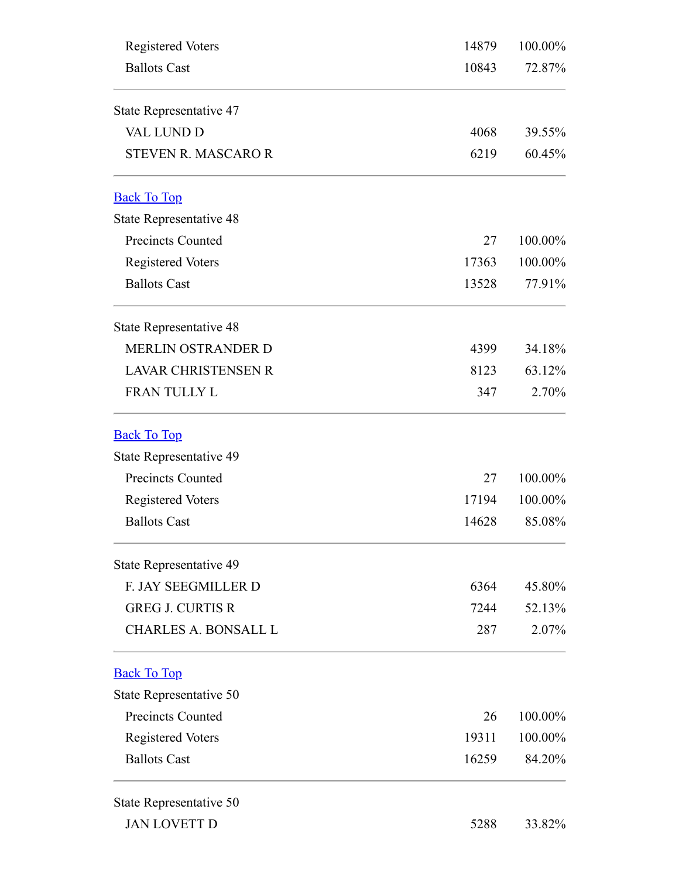<span id="page-13-2"></span><span id="page-13-1"></span><span id="page-13-0"></span>

| <b>Registered Voters</b>       | 14879 | 100.00% |
|--------------------------------|-------|---------|
| <b>Ballots Cast</b>            | 10843 | 72.87%  |
| State Representative 47        |       |         |
| <b>VAL LUND D</b>              | 4068  | 39.55%  |
| <b>STEVEN R. MASCARO R</b>     | 6219  | 60.45%  |
| <b>Back To Top</b>             |       |         |
| State Representative 48        |       |         |
| <b>Precincts Counted</b>       | 27    | 100.00% |
| <b>Registered Voters</b>       | 17363 | 100.00% |
| <b>Ballots Cast</b>            | 13528 | 77.91%  |
| <b>State Representative 48</b> |       |         |
| MERLIN OSTRANDER D             | 4399  | 34.18%  |
| <b>LAVAR CHRISTENSEN R</b>     | 8123  | 63.12%  |
| FRAN TULLY L                   | 347   | 2.70%   |
| <b>Back To Top</b>             |       |         |
| State Representative 49        |       |         |
| <b>Precincts Counted</b>       | 27    | 100.00% |
| <b>Registered Voters</b>       | 17194 | 100.00% |
| <b>Ballots Cast</b>            | 14628 | 85.08%  |
| State Representative 49        |       |         |
| F. JAY SEEGMILLER D            | 6364  | 45.80%  |
| <b>GREG J. CURTIS R</b>        | 7244  | 52.13%  |
| <b>CHARLES A. BONSALL L</b>    | 287   | 2.07%   |
| <b>Back To Top</b>             |       |         |
| State Representative 50        |       |         |
| <b>Precincts Counted</b>       | 26    | 100.00% |
| <b>Registered Voters</b>       | 19311 | 100.00% |
| <b>Ballots Cast</b>            | 16259 | 84.20%  |
| State Representative 50        |       |         |
| <b>JAN LOVETT D</b>            | 5288  | 33.82%  |
|                                |       |         |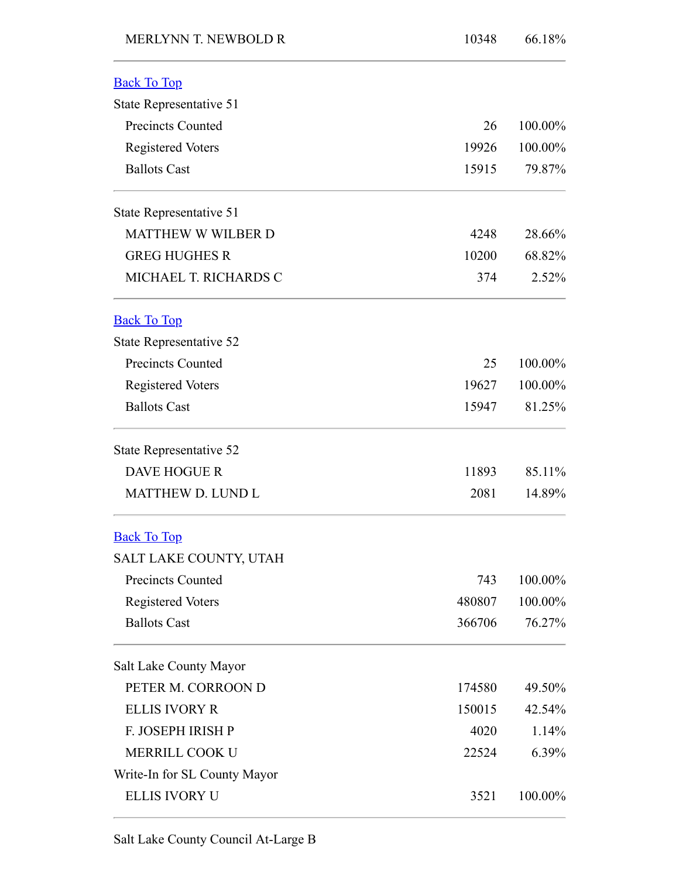<span id="page-14-2"></span><span id="page-14-1"></span><span id="page-14-0"></span>

| <b>MERLYNN T. NEWBOLD R</b>  | 10348  | 66.18%  |
|------------------------------|--------|---------|
| <b>Back To Top</b>           |        |         |
| State Representative 51      |        |         |
| <b>Precincts Counted</b>     | 26     | 100.00% |
| <b>Registered Voters</b>     | 19926  | 100.00% |
| <b>Ballots Cast</b>          | 15915  | 79.87%  |
| State Representative 51      |        |         |
| MATTHEW W WILBER D           | 4248   | 28.66%  |
| <b>GREG HUGHES R</b>         | 10200  | 68.82%  |
| MICHAEL T. RICHARDS C        | 374    | 2.52%   |
| <b>Back To Top</b>           |        |         |
| State Representative 52      |        |         |
| <b>Precincts Counted</b>     | 25     | 100.00% |
| <b>Registered Voters</b>     | 19627  | 100.00% |
| <b>Ballots Cast</b>          | 15947  | 81.25%  |
| State Representative 52      |        |         |
| <b>DAVE HOGUE R</b>          | 11893  | 85.11%  |
| MATTHEW D. LUND L            | 2081   | 14.89%  |
| <b>Back To Top</b>           |        |         |
| SALT LAKE COUNTY, UTAH       |        |         |
| <b>Precincts Counted</b>     | 743    | 100.00% |
| <b>Registered Voters</b>     | 480807 | 100.00% |
| <b>Ballots Cast</b>          | 366706 | 76.27%  |
| Salt Lake County Mayor       |        |         |
| PETER M. CORROON D           | 174580 | 49.50%  |
| <b>ELLIS IVORY R</b>         | 150015 | 42.54%  |
| F. JOSEPH IRISH P            | 4020   | 1.14%   |
| MERRILL COOK U               | 22524  | 6.39%   |
| Write-In for SL County Mayor |        |         |
| <b>ELLIS IVORY U</b>         | 3521   | 100.00% |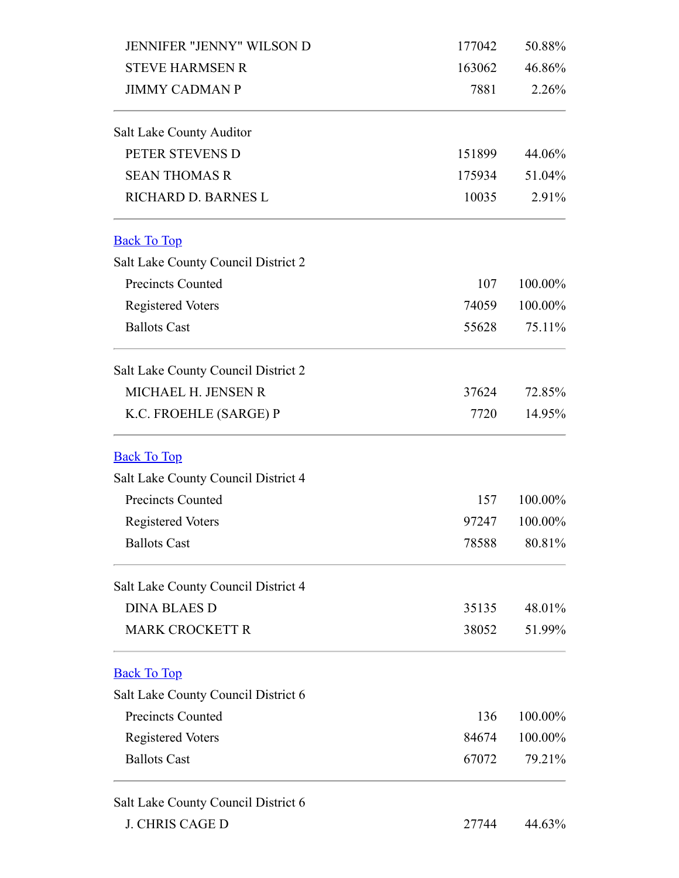<span id="page-15-2"></span><span id="page-15-1"></span><span id="page-15-0"></span>

| <b>JENNIFER "JENNY" WILSON D</b>    | 177042 | 50.88%  |
|-------------------------------------|--------|---------|
| <b>STEVE HARMSEN R</b>              | 163062 | 46.86%  |
| <b>JIMMY CADMAN P</b>               | 7881   | 2.26%   |
| Salt Lake County Auditor            |        |         |
| PETER STEVENS D                     | 151899 | 44.06%  |
| <b>SEAN THOMAS R</b>                | 175934 | 51.04%  |
| RICHARD D. BARNES L                 | 10035  | 2.91%   |
| <b>Back To Top</b>                  |        |         |
| Salt Lake County Council District 2 |        |         |
| <b>Precincts Counted</b>            | 107    | 100.00% |
| <b>Registered Voters</b>            | 74059  | 100.00% |
| <b>Ballots Cast</b>                 | 55628  | 75.11%  |
| Salt Lake County Council District 2 |        |         |
| MICHAEL H. JENSEN R                 | 37624  | 72.85%  |
| K.C. FROEHLE (SARGE) P              | 7720   | 14.95%  |
| <b>Back To Top</b>                  |        |         |
| Salt Lake County Council District 4 |        |         |
| <b>Precincts Counted</b>            | 157    | 100.00% |
| <b>Registered Voters</b>            | 97247  | 100.00% |
| <b>Ballots Cast</b>                 | 78588  | 80.81%  |
| Salt Lake County Council District 4 |        |         |
| <b>DINA BLAES D</b>                 | 35135  | 48.01%  |
| <b>MARK CROCKETT R</b>              | 38052  | 51.99%  |
| <b>Back To Top</b>                  |        |         |
| Salt Lake County Council District 6 |        |         |
| <b>Precincts Counted</b>            | 136    | 100.00% |
| <b>Registered Voters</b>            | 84674  | 100.00% |
| <b>Ballots Cast</b>                 | 67072  | 79.21%  |
| Salt Lake County Council District 6 |        |         |
| <b>J. CHRIS CAGE D</b>              | 27744  | 44.63%  |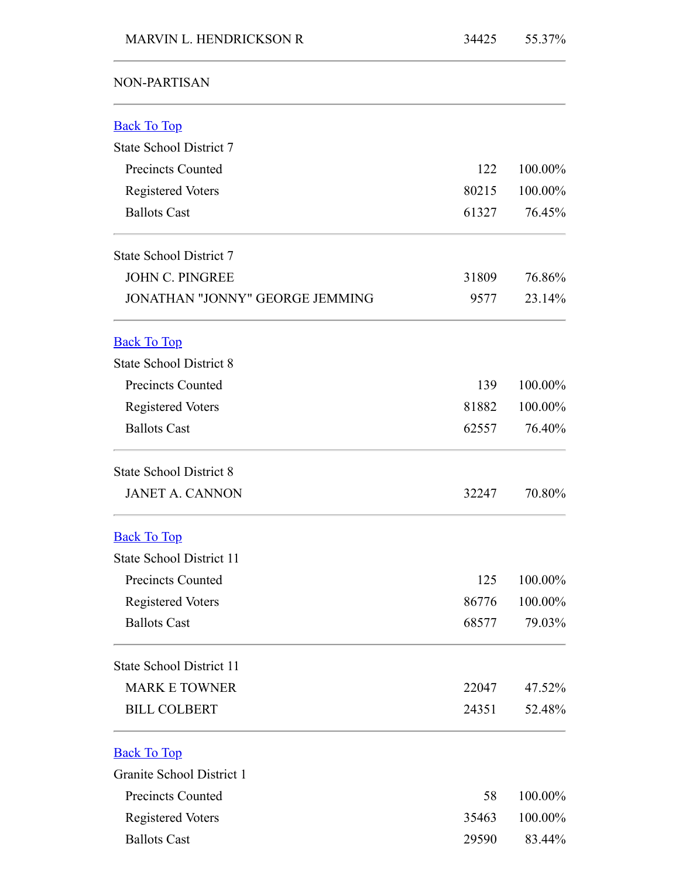## NON-PARTISAN

<span id="page-16-3"></span><span id="page-16-2"></span><span id="page-16-1"></span><span id="page-16-0"></span>

| <b>Back To Top</b>                     |       |         |
|----------------------------------------|-------|---------|
| State School District 7                |       |         |
| <b>Precincts Counted</b>               | 122   | 100.00% |
| <b>Registered Voters</b>               | 80215 | 100.00% |
| <b>Ballots Cast</b>                    | 61327 | 76.45%  |
| State School District 7                |       |         |
| <b>JOHN C. PINGREE</b>                 | 31809 | 76.86%  |
| <b>JONATHAN "JONNY" GEORGE JEMMING</b> | 9577  | 23.14%  |
| <b>Back To Top</b>                     |       |         |
| <b>State School District 8</b>         |       |         |
| <b>Precincts Counted</b>               | 139   | 100.00% |
| <b>Registered Voters</b>               | 81882 | 100.00% |
| <b>Ballots Cast</b>                    | 62557 | 76.40%  |
| <b>State School District 8</b>         |       |         |
| <b>JANET A. CANNON</b>                 | 32247 | 70.80%  |
| <b>Back To Top</b>                     |       |         |
| State School District 11               |       |         |
| <b>Precincts Counted</b>               | 125   | 100.00% |
| <b>Registered Voters</b>               | 86776 | 100.00% |
| <b>Ballots Cast</b>                    | 68577 | 79.03%  |
| State School District 11               |       |         |
| <b>MARK E TOWNER</b>                   | 22047 | 47.52%  |
| <b>BILL COLBERT</b>                    | 24351 | 52.48%  |
| <b>Back To Top</b>                     |       |         |
| Granite School District 1              |       |         |
| <b>Precincts Counted</b>               | 58    | 100.00% |
| Registered Voters                      | 35463 | 100.00% |
| <b>Ballots Cast</b>                    | 29590 | 83.44%  |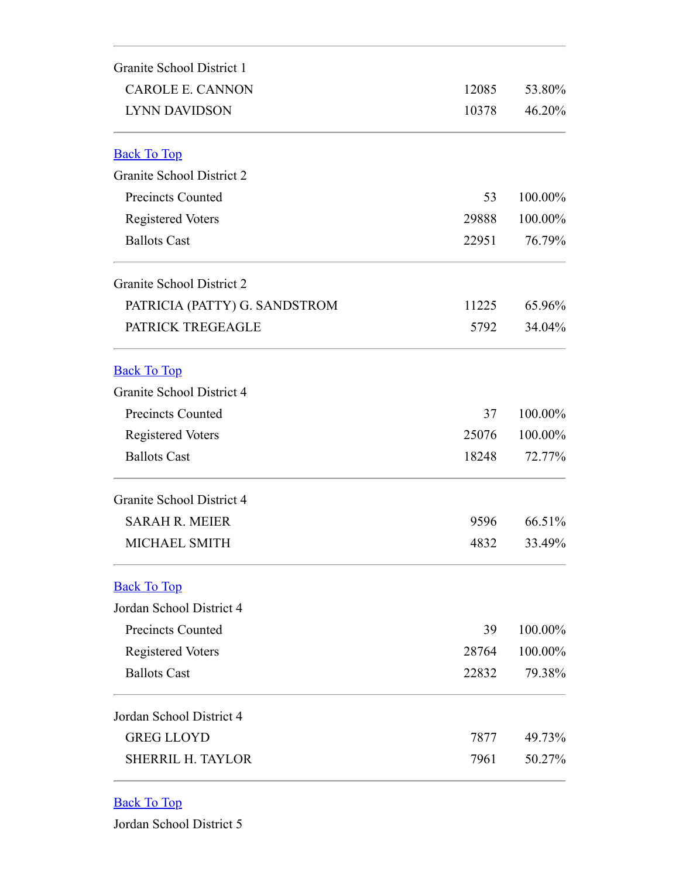<span id="page-17-1"></span><span id="page-17-0"></span>

| Granite School District 1     |       |         |
|-------------------------------|-------|---------|
| <b>CAROLE E. CANNON</b>       | 12085 | 53.80%  |
| <b>LYNN DAVIDSON</b>          | 10378 | 46.20%  |
| <b>Back To Top</b>            |       |         |
| Granite School District 2     |       |         |
| <b>Precincts Counted</b>      | 53    | 100.00% |
| <b>Registered Voters</b>      | 29888 | 100.00% |
| <b>Ballots Cast</b>           | 22951 | 76.79%  |
| Granite School District 2     |       |         |
| PATRICIA (PATTY) G. SANDSTROM | 11225 | 65.96%  |
| PATRICK TREGEAGLE             | 5792  | 34.04%  |
| <b>Back To Top</b>            |       |         |
| Granite School District 4     |       |         |
| <b>Precincts Counted</b>      | 37    | 100.00% |
| <b>Registered Voters</b>      | 25076 | 100.00% |
| <b>Ballots Cast</b>           | 18248 | 72.77%  |
| Granite School District 4     |       |         |
| <b>SARAH R. MEIER</b>         | 9596  | 66.51%  |
| MICHAEL SMITH                 | 4832  | 33.49%  |
| <b>Back To Top</b>            |       |         |
| Jordan School District 4      |       |         |
| <b>Precincts Counted</b>      | 39    | 100.00% |
| <b>Registered Voters</b>      | 28764 | 100.00% |
| <b>Ballots Cast</b>           | 22832 | 79.38%  |
| Jordan School District 4      |       |         |
| <b>GREG LLOYD</b>             | 7877  | 49.73%  |
| <b>SHERRIL H. TAYLOR</b>      | 7961  | 50.27%  |

## <span id="page-17-3"></span><span id="page-17-2"></span>Back To Top

Jordan School District 5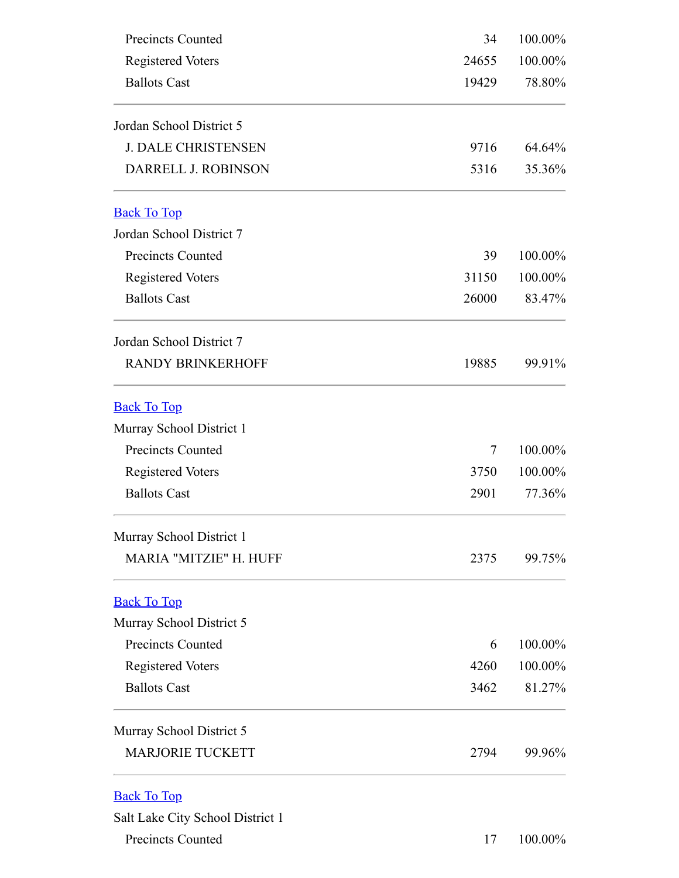<span id="page-18-3"></span><span id="page-18-2"></span><span id="page-18-1"></span><span id="page-18-0"></span>

| Precincts Counted                | 34     | 100.00% |
|----------------------------------|--------|---------|
| <b>Registered Voters</b>         | 24655  | 100.00% |
| <b>Ballots Cast</b>              | 19429  | 78.80%  |
| Jordan School District 5         |        |         |
| <b>J. DALE CHRISTENSEN</b>       | 9716   | 64.64%  |
| DARRELL J. ROBINSON              | 5316   | 35.36%  |
| <b>Back To Top</b>               |        |         |
| Jordan School District 7         |        |         |
| Precincts Counted                | 39     | 100.00% |
| <b>Registered Voters</b>         | 31150  | 100.00% |
| <b>Ballots Cast</b>              | 26000  | 83.47%  |
| Jordan School District 7         |        |         |
| <b>RANDY BRINKERHOFF</b>         | 19885  | 99.91%  |
| <b>Back To Top</b>               |        |         |
| Murray School District 1         |        |         |
| <b>Precincts Counted</b>         | $\tau$ | 100.00% |
| <b>Registered Voters</b>         | 3750   | 100.00% |
| <b>Ballots Cast</b>              | 2901   | 77.36%  |
| Murray School District 1         |        |         |
| MARIA "MITZIE" H. HUFF           | 2375   | 99.75%  |
| <b>Back To Top</b>               |        |         |
| Murray School District 5         |        |         |
| <b>Precincts Counted</b>         | 6      | 100.00% |
| <b>Registered Voters</b>         | 4260   | 100.00% |
| <b>Ballots Cast</b>              | 3462   | 81.27%  |
| Murray School District 5         |        |         |
| <b>MARJORIE TUCKETT</b>          | 2794   | 99.96%  |
| <b>Back To Top</b>               |        |         |
| Salt Lake City School District 1 |        |         |
| <b>Precincts Counted</b>         | 17     | 100.00% |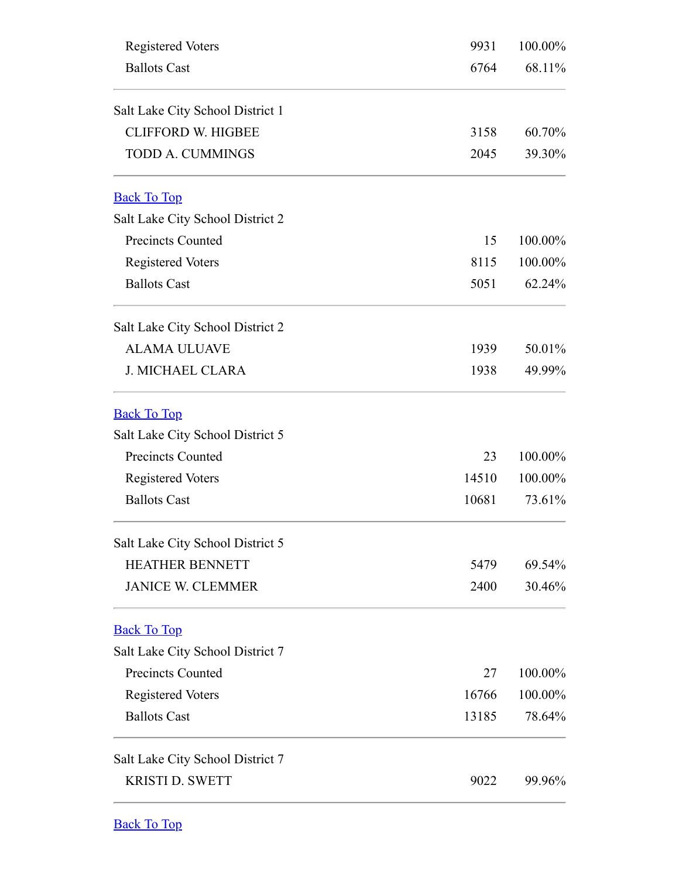<span id="page-19-3"></span><span id="page-19-2"></span><span id="page-19-1"></span><span id="page-19-0"></span>

| <b>Registered Voters</b>         | 9931  | 100.00% |
|----------------------------------|-------|---------|
| <b>Ballots Cast</b>              | 6764  | 68.11%  |
| Salt Lake City School District 1 |       |         |
| <b>CLIFFORD W. HIGBEE</b>        | 3158  | 60.70%  |
| <b>TODD A. CUMMINGS</b>          | 2045  | 39.30%  |
| <b>Back To Top</b>               |       |         |
| Salt Lake City School District 2 |       |         |
| <b>Precincts Counted</b>         | 15    | 100.00% |
| <b>Registered Voters</b>         | 8115  | 100.00% |
| <b>Ballots Cast</b>              | 5051  | 62.24%  |
| Salt Lake City School District 2 |       |         |
| <b>ALAMA ULUAVE</b>              | 1939  | 50.01%  |
| <b>J. MICHAEL CLARA</b>          | 1938  | 49.99%  |
| <b>Back To Top</b>               |       |         |
| Salt Lake City School District 5 |       |         |
| <b>Precincts Counted</b>         | 23    | 100.00% |
| <b>Registered Voters</b>         | 14510 | 100.00% |
| <b>Ballots Cast</b>              | 10681 | 73.61%  |
| Salt Lake City School District 5 |       |         |
| <b>HEATHER BENNETT</b>           | 5479  | 69.54%  |
| <b>JANICE W. CLEMMER</b>         | 2400  | 30.46%  |
| <b>Back To Top</b>               |       |         |
| Salt Lake City School District 7 |       |         |
| <b>Precincts Counted</b>         | 27    | 100.00% |
| <b>Registered Voters</b>         | 16766 | 100.00% |
| <b>Ballots Cast</b>              | 13185 | 78.64%  |
| Salt Lake City School District 7 |       |         |
| <b>KRISTI D. SWETT</b>           | 9022  | 99.96%  |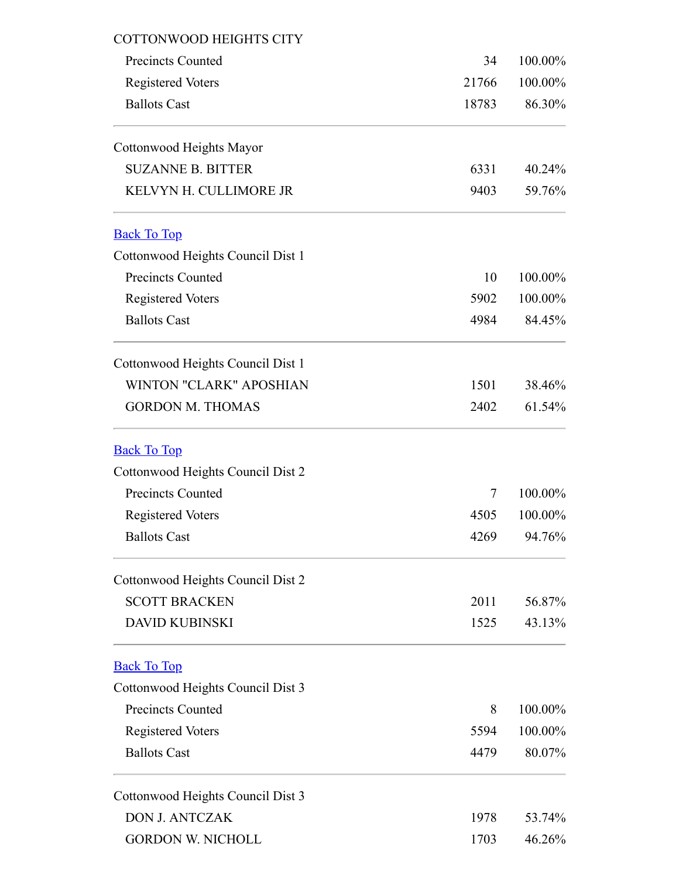<span id="page-20-2"></span><span id="page-20-1"></span><span id="page-20-0"></span>

| <b>COTTONWOOD HEIGHTS CITY</b>    |       |         |
|-----------------------------------|-------|---------|
| <b>Precincts Counted</b>          | 34    | 100.00% |
| <b>Registered Voters</b>          | 21766 | 100.00% |
| <b>Ballots Cast</b>               | 18783 | 86.30%  |
| Cottonwood Heights Mayor          |       |         |
| <b>SUZANNE B. BITTER</b>          | 6331  | 40.24%  |
| KELVYN H. CULLIMORE JR            | 9403  | 59.76%  |
| <b>Back To Top</b>                |       |         |
| Cottonwood Heights Council Dist 1 |       |         |
| <b>Precincts Counted</b>          | 10    | 100.00% |
| <b>Registered Voters</b>          | 5902  | 100.00% |
| <b>Ballots Cast</b>               | 4984  | 84.45%  |
| Cottonwood Heights Council Dist 1 |       |         |
| <b>WINTON "CLARK" APOSHIAN</b>    | 1501  | 38.46%  |
| <b>GORDON M. THOMAS</b>           | 2402  | 61.54%  |
| <b>Back To Top</b>                |       |         |
| Cottonwood Heights Council Dist 2 |       |         |
| <b>Precincts Counted</b>          | 7     | 100.00% |
| <b>Registered Voters</b>          | 4505  | 100.00% |
| <b>Ballots Cast</b>               | 4269  | 94.76%  |
| Cottonwood Heights Council Dist 2 |       |         |
| <b>SCOTT BRACKEN</b>              | 2011  | 56.87%  |
| <b>DAVID KUBINSKI</b>             | 1525  | 43.13%  |
| <b>Back To Top</b>                |       |         |
| Cottonwood Heights Council Dist 3 |       |         |
| <b>Precincts Counted</b>          | 8     | 100.00% |
| <b>Registered Voters</b>          | 5594  | 100.00% |
| <b>Ballots Cast</b>               | 4479  | 80.07%  |
| Cottonwood Heights Council Dist 3 |       |         |
| <b>DON J. ANTCZAK</b>             | 1978  | 53.74%  |
| <b>GORDON W. NICHOLL</b>          | 1703  | 46.26%  |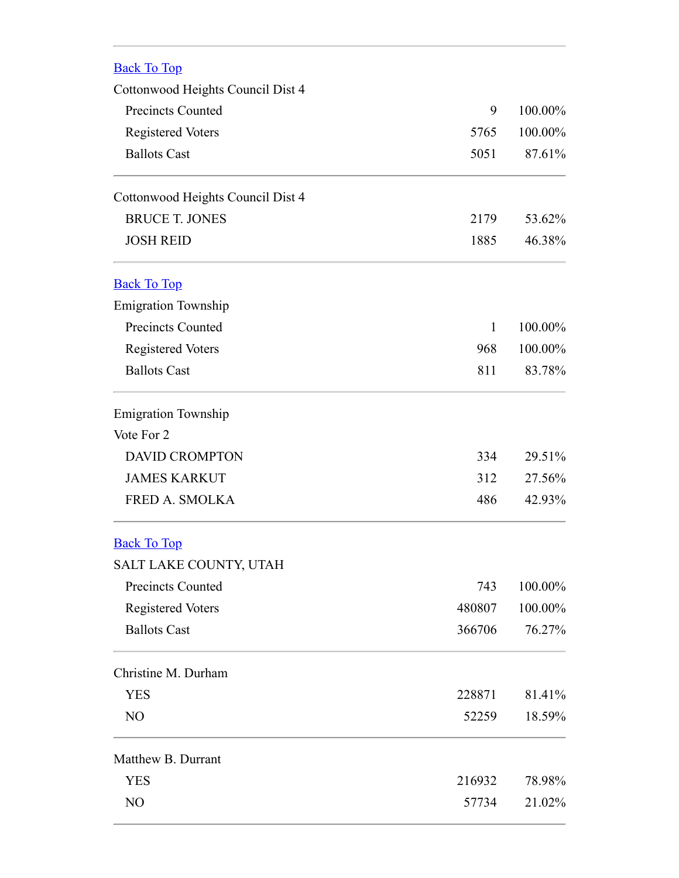<span id="page-21-2"></span><span id="page-21-1"></span><span id="page-21-0"></span>

| <b>Back To Top</b>                |              |         |
|-----------------------------------|--------------|---------|
| Cottonwood Heights Council Dist 4 |              |         |
| <b>Precincts Counted</b>          | 9            | 100.00% |
| <b>Registered Voters</b>          | 5765         | 100.00% |
| <b>Ballots Cast</b>               | 5051         | 87.61%  |
| Cottonwood Heights Council Dist 4 |              |         |
| <b>BRUCE T. JONES</b>             | 2179         | 53.62%  |
| <b>JOSH REID</b>                  | 1885         | 46.38%  |
| <b>Back To Top</b>                |              |         |
| <b>Emigration Township</b>        |              |         |
| <b>Precincts Counted</b>          | $\mathbf{1}$ | 100.00% |
| <b>Registered Voters</b>          | 968          | 100.00% |
| <b>Ballots Cast</b>               | 811          | 83.78%  |
| <b>Emigration Township</b>        |              |         |
| Vote For 2                        |              |         |
| <b>DAVID CROMPTON</b>             | 334          | 29.51%  |
| <b>JAMES KARKUT</b>               | 312          | 27.56%  |
| FRED A. SMOLKA                    | 486          | 42.93%  |
| <b>Back To Top</b>                |              |         |
| SALT LAKE COUNTY, UTAH            |              |         |
| <b>Precincts Counted</b>          | 743          | 100.00% |
| <b>Registered Voters</b>          | 480807       | 100.00% |
| <b>Ballots Cast</b>               | 366706       | 76.27%  |
| Christine M. Durham               |              |         |
| <b>YES</b>                        | 228871       | 81.41%  |
| NO                                | 52259        | 18.59%  |
| Matthew B. Durrant                |              |         |
| <b>YES</b>                        | 216932       | 78.98%  |
| NO                                | 57734        | 21.02%  |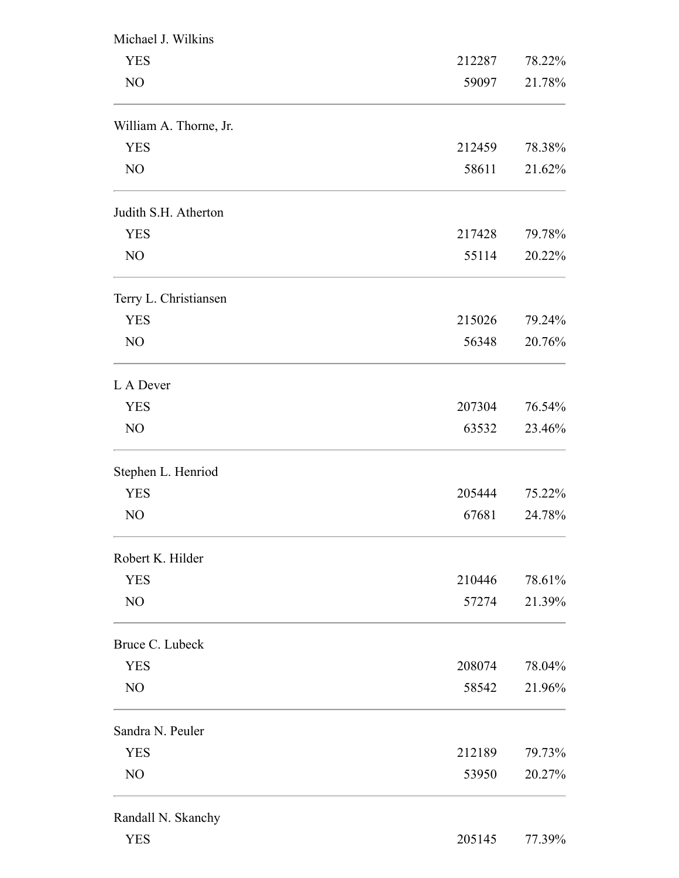| Michael J. Wilkins     |        |        |
|------------------------|--------|--------|
| <b>YES</b>             | 212287 | 78.22% |
| NO                     | 59097  | 21.78% |
| William A. Thorne, Jr. |        |        |
| <b>YES</b>             | 212459 | 78.38% |
| NO                     | 58611  | 21.62% |
| Judith S.H. Atherton   |        |        |
| <b>YES</b>             | 217428 | 79.78% |
| NO                     | 55114  | 20.22% |
| Terry L. Christiansen  |        |        |
| <b>YES</b>             | 215026 | 79.24% |
| NO                     | 56348  | 20.76% |
| L A Dever              |        |        |
| <b>YES</b>             | 207304 | 76.54% |
| NO                     | 63532  | 23.46% |
| Stephen L. Henriod     |        |        |
| <b>YES</b>             | 205444 | 75.22% |
| NO                     | 67681  | 24.78% |
| Robert K. Hilder       |        |        |
| <b>YES</b>             | 210446 | 78.61% |
| NO                     | 57274  | 21.39% |
| Bruce C. Lubeck        |        |        |
| <b>YES</b>             | 208074 | 78.04% |
| NO                     | 58542  | 21.96% |
| Sandra N. Peuler       |        |        |
| <b>YES</b>             | 212189 | 79.73% |
| NO                     | 53950  | 20.27% |
| Randall N. Skanchy     |        |        |
| <b>YES</b>             | 205145 | 77.39% |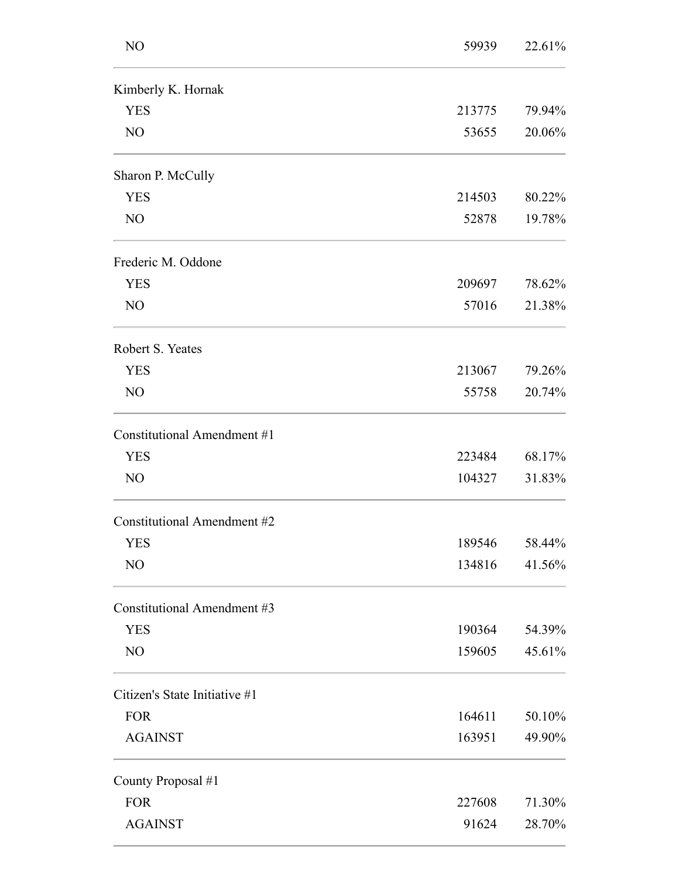| NO                                 | 59939  | 22.61% |
|------------------------------------|--------|--------|
| Kimberly K. Hornak                 |        |        |
| <b>YES</b>                         | 213775 | 79.94% |
| NO                                 | 53655  | 20.06% |
| Sharon P. McCully                  |        |        |
| <b>YES</b>                         | 214503 | 80.22% |
| NO                                 | 52878  | 19.78% |
| Frederic M. Oddone                 |        |        |
| <b>YES</b>                         | 209697 | 78.62% |
| NO                                 | 57016  | 21.38% |
| Robert S. Yeates                   |        |        |
| <b>YES</b>                         | 213067 | 79.26% |
| NO                                 | 55758  | 20.74% |
| Constitutional Amendment #1        |        |        |
| <b>YES</b>                         | 223484 | 68.17% |
| NO                                 | 104327 | 31.83% |
| <b>Constitutional Amendment #2</b> |        |        |
| <b>YES</b>                         | 189546 | 58.44% |
| NO                                 | 134816 | 41.56% |
| Constitutional Amendment #3        |        |        |
| <b>YES</b>                         | 190364 | 54.39% |
| NO                                 | 159605 | 45.61% |
| Citizen's State Initiative #1      |        |        |
| <b>FOR</b>                         | 164611 | 50.10% |
| <b>AGAINST</b>                     | 163951 | 49.90% |
| County Proposal #1                 |        |        |
| <b>FOR</b>                         | 227608 | 71.30% |
| <b>AGAINST</b>                     | 91624  | 28.70% |